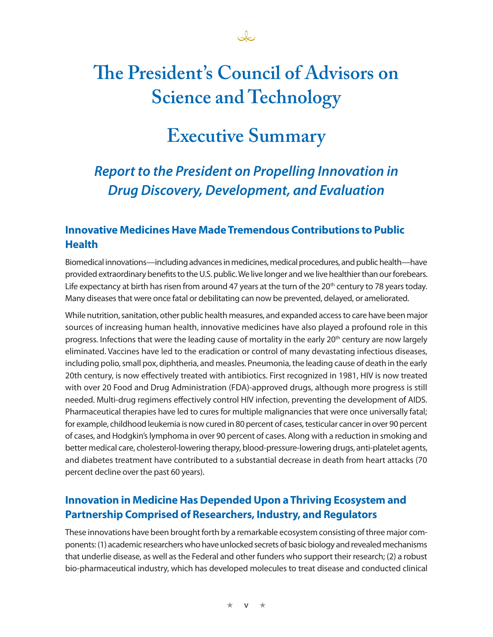# **The President's Council of Advisors on Science and Technology**

## **Executive Summary**

## *Report to the President on Propelling Innovation in Drug Discovery, Development, and Evaluation*

### **Innovative Medicines Have Made Tremendous Contributions to Public Health**

Biomedical innovations—including advances in medicines, medical procedures, and public health—have provided extraordinary benefits to the U.S. public. We live longer and we live healthier than our forebears. Life expectancy at birth has risen from around 47 years at the turn of the 20<sup>th</sup> century to 78 years today. Many diseases that were once fatal or debilitating can now be prevented, delayed, or ameliorated.

While nutrition, sanitation, other public health measures, and expanded access to care have been major sources of increasing human health, innovative medicines have also played a profound role in this progress. Infections that were the leading cause of mortality in the early 20<sup>th</sup> century are now largely eliminated. Vaccines have led to the eradication or control of many devastating infectious diseases, including polio, small pox, diphtheria, and measles. Pneumonia, the leading cause of death in the early 20th century, is now effectively treated with antibiotics. First recognized in 1981, HIV is now treated with over 20 Food and Drug Administration (FDA)-approved drugs, although more progress is still needed. Multi-drug regimens effectively control HIV infection, preventing the development of AIDS. Pharmaceutical therapies have led to cures for multiple malignancies that were once universally fatal; for example, childhood leukemia is now cured in 80 percent of cases, testicular cancer in over 90 percent of cases, and Hodgkin's lymphoma in over 90 percent of cases. Along with a reduction in smoking and better medical care, cholesterol-lowering therapy, blood-pressure-lowering drugs, anti-platelet agents, and diabetes treatment have contributed to a substantial decrease in death from heart attacks (70 percent decline over the past 60 years).

### **Innovation in Medicine Has Depended Upon a Thriving Ecosystem and Partnership Comprised of Researchers, Industry, and Regulators**

These innovations have been brought forth by a remarkable ecosystem consisting of three major components: (1) academic researchers who have unlocked secrets of basic biology and revealed mechanisms that underlie disease, as well as the Federal and other funders who support their research; (2) a robust bio-pharmaceutical industry, which has developed molecules to treat disease and conducted clinical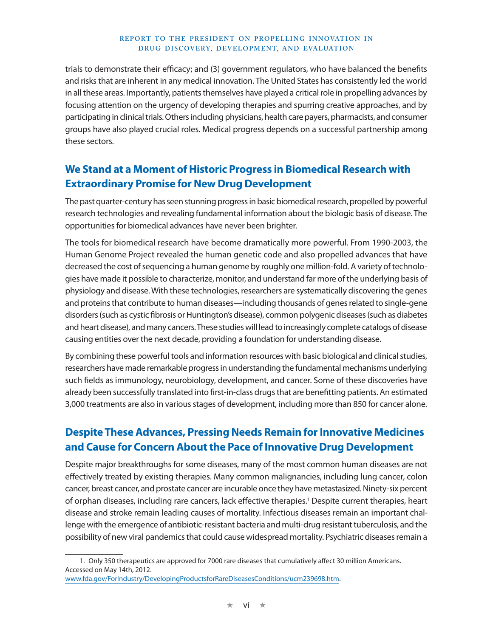#### **REPORT TO THE PRESIDENT ON PROPELLING INNOVATION IN DRUG DISCOVERY, DEVELOPMENT, AND EVALUATION**

trials to demonstrate their efficacy; and (3) government regulators, who have balanced the benefits and risks that are inherent in any medical innovation. The United States has consistently led the world in all these areas. Importantly, patients themselves have played a critical role in propelling advances by focusing attention on the urgency of developing therapies and spurring creative approaches, and by participating in clinical trials. Others including physicians, health care payers, pharmacists, and consumer groups have also played crucial roles. Medical progress depends on a successful partnership among these sectors.

### **We Stand at a Moment of Historic Progress in Biomedical Research with Extraordinary Promise for New Drug Development**

The past quarter-century has seen stunning progress in basic biomedical research, propelled by powerful research technologies and revealing fundamental information about the biologic basis of disease. The opportunities for biomedical advances have never been brighter.

The tools for biomedical research have become dramatically more powerful. From 1990-2003, the Human Genome Project revealed the human genetic code and also propelled advances that have decreased the cost of sequencing a human genome by roughly one million-fold. A variety of technologies have made it possible to characterize, monitor, and understand far more of the underlying basis of physiology and disease. With these technologies, researchers are systematically discovering the genes and proteins that contribute to human diseases—including thousands of genes related to single-gene disorders (such as cystic fibrosis or Huntington's disease), common polygenic diseases (such as diabetes and heart disease), and many cancers. These studies will lead to increasingly complete catalogs of disease causing entities over the next decade, providing a foundation for understanding disease.

By combining these powerful tools and information resources with basic biological and clinical studies, researchers have made remarkable progress in understanding the fundamental mechanisms underlying such fields as immunology, neurobiology, development, and cancer. Some of these discoveries have already been successfully translated into first-in-class drugs that are benefitting patients. An estimated 3,000 treatments are also in various stages of development, including more than 850 for cancer alone.

### **Despite These Advances, Pressing Needs Remain for Innovative Medicines and Cause for Concern About the Pace of Innovative Drug Development**

Despite major breakthroughs for some diseases, many of the most common human diseases are not effectively treated by existing therapies. Many common malignancies, including lung cancer, colon cancer, breast cancer, and prostate cancer are incurable once they have metastasized. Ninety-six percent of orphan diseases, including rare cancers, lack effective therapies.<sup>1</sup> Despite current therapies, heart disease and stroke remain leading causes of mortality. Infectious diseases remain an important challenge with the emergence of antibiotic-resistant bacteria and multi-drug resistant tuberculosis, and the possibility of new viral pandemics that could cause widespread mortality. Psychiatric diseases remain a

<sup>1.</sup> Only 350 therapeutics are approved for 7000 rare diseases that cumulatively affect 30 million Americans. Accessed on May 14th, 2012.

www.fda.gov/ForIndustry/DevelopingProductsforRareDiseasesConditions/ucm239698.htm.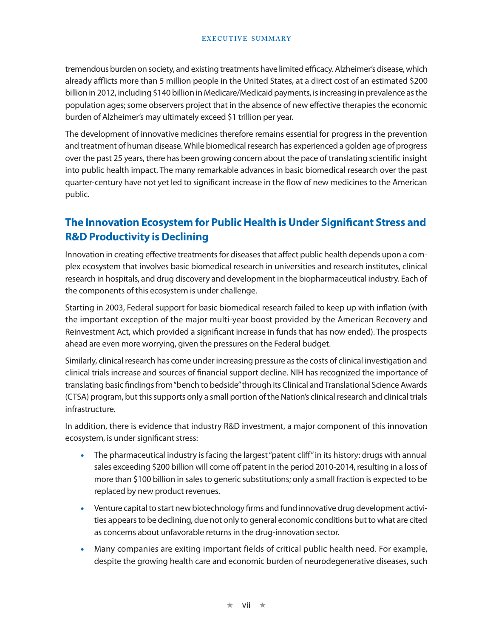#### **EXECUTIVE SUMMARY**

tremendous burden on society, and existing treatments have limited efficacy. Alzheimer's disease, which already afflicts more than 5 million people in the United States, at a direct cost of an estimated \$200 billion in 2012, including \$140 billion in Medicare/Medicaid payments, is increasing in prevalence as the population ages; some observers project that in the absence of new effective therapies the economic burden of Alzheimer's may ultimately exceed \$1 trillion per year.

The development of innovative medicines therefore remains essential for progress in the prevention and treatment of human disease. While biomedical research has experienced a golden age of progress over the past 25 years, there has been growing concern about the pace of translating scientific insight into public health impact. The many remarkable advances in basic biomedical research over the past quarter-century have not yet led to significant increase in the flow of new medicines to the American public.

### **The Innovation Ecosystem for Public Health is Under Significant Stress and R&D Productivity is Declining**

Innovation in creating effective treatments for diseases that affect public health depends upon a complex ecosystem that involves basic biomedical research in universities and research institutes, clinical research in hospitals, and drug discovery and development in the biopharmaceutical industry. Each of the components of this ecosystem is under challenge.

Starting in 2003, Federal support for basic biomedical research failed to keep up with inflation (with the important exception of the major multi-year boost provided by the American Recovery and Reinvestment Act, which provided a significant increase in funds that has now ended). The prospects ahead are even more worrying, given the pressures on the Federal budget.

Similarly, clinical research has come under increasing pressure as the costs of clinical investigation and clinical trials increase and sources of financial support decline. NIH has recognized the importance of translating basic findings from "bench to bedside" through its Clinical and Translational Science Awards (CTSA) program, but this supports only a small portion of the Nation's clinical research and clinical trials infrastructure.

In addition, there is evidence that industry R&D investment, a major component of this innovation ecosystem, is under significant stress:

- The pharmaceutical industry is facing the largest "patent cliff" in its history: drugs with annual sales exceeding \$200 billion will come off patent in the period 2010-2014, resulting in a loss of more than \$100 billion in sales to generic substitutions; only a small fraction is expected to be replaced by new product revenues.
- Venture capital to start new biotechnology firms and fund innovative drug development activities appears to be declining, due not only to general economic conditions but to what are cited as concerns about unfavorable returns in the drug-innovation sector.
- Many companies are exiting important fields of critical public health need. For example, despite the growing health care and economic burden of neurodegenerative diseases, such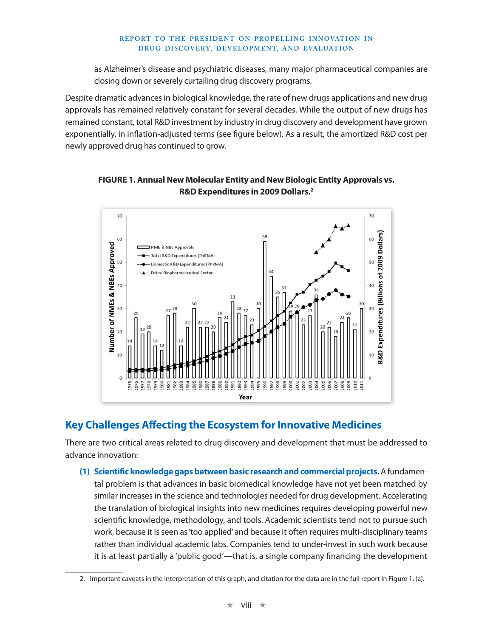#### **REPORT TO THE PRESIDENT ON PROPELLING INNOVATION IN DRUG DISCOVERY, DEVELOPMENT, AND EVALUATION**

as Alzheimer's disease and psychiatric diseases, many major pharmaceutical companies are closing down or severely curtailing drug discovery programs.

Despite dramatic advances in biological knowledge, the rate of new drugs applications and new drug approvals has remained relatively constant for several decades. While the output of new drugs has remained constant, total R&D investment by industry in drug discovery and development have grown exponentially, in inflation-adjusted terms (see figure below). As a result, the amortized R&D cost per newly approved drug has continued to grow.

**FIGURE 1. Annual New Molecular Entity and New Biologic Entity Approvals vs. R&D Expenditures in 2009 Dollars.2**



### **Key Challenges Affecting the Ecosystem for Innovative Medicines**

There are two critical areas related to drug discovery and development that must be addressed to advance innovation:

**(1) Scientific knowledge gaps between basic research and commercial projects.** A fundamental problem is that advances in basic biomedical knowledge have not yet been matched by similar increases in the science and technologies needed for drug development. Accelerating the translation of biological insights into new medicines requires developing powerful new scientific knowledge, methodology, and tools. Academic scientists tend not to pursue such work, because it is seen as 'too applied' and because it often requires multi-disciplinary teams rather than individual academic labs. Companies tend to under-invest in such work because it is at least partially a 'public good'—that is, a single company financing the development

<sup>2.</sup> Important caveats in the interpretation of this graph, and citation for the data are in the full report in Figure 1. (a).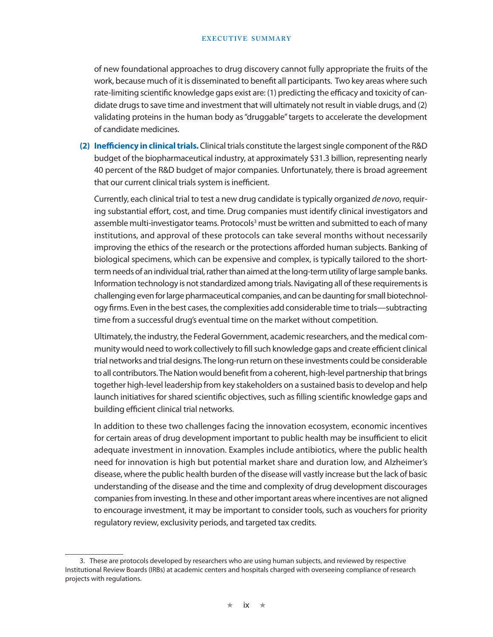#### **EXECUTIVE SUMMARY**

of new foundational approaches to drug discovery cannot fully appropriate the fruits of the work, because much of it is disseminated to benefit all participants. Two key areas where such rate-limiting scientific knowledge gaps exist are: (1) predicting the efficacy and toxicity of candidate drugs to save time and investment that will ultimately not result in viable drugs, and (2) validating proteins in the human body as "druggable" targets to accelerate the development of candidate medicines.

**(2) Inefficiency in clinical trials.** Clinical trials constitute the largest single component of the R&D budget of the biopharmaceutical industry, at approximately \$31.3 billion, representing nearly 40 percent of the R&D budget of major companies. Unfortunately, there is broad agreement that our current clinical trials system is inefficient.

Currently, each clinical trial to test a new drug candidate is typically organized de novo, requiring substantial effort, cost, and time. Drug companies must identify clinical investigators and assemble multi-investigator teams. Protocols<sup>3</sup> must be written and submitted to each of many institutions, and approval of these protocols can take several months without necessarily improving the ethics of the research or the protections afforded human subjects. Banking of biological specimens, which can be expensive and complex, is typically tailored to the shortterm needs of an individual trial, rather than aimed at the long-term utility of large sample banks. Information technology is not standardized among trials. Navigating all of these requirements is challenging even for large pharmaceutical companies, and can be daunting for small biotechnology firms. Even in the best cases, the complexities add considerable time to trials—subtracting time from a successful drug's eventual time on the market without competition.

Ultimately, the industry, the Federal Government, academic researchers, and the medical community would need to work collectively to fill such knowledge gaps and create efficient clinical trial networks and trial designs. The long-run return on these investments could be considerable to all contributors. The Nation would benefit from a coherent, high-level partnership that brings together high-level leadership from key stakeholders on a sustained basis to develop and help launch initiatives for shared scientific objectives, such as filling scientific knowledge gaps and building efficient clinical trial networks.

In addition to these two challenges facing the innovation ecosystem, economic incentives for certain areas of drug development important to public health may be insufficient to elicit adequate investment in innovation. Examples include antibiotics, where the public health need for innovation is high but potential market share and duration low, and Alzheimer's disease, where the public health burden of the disease will vastly increase but the lack of basic understanding of the disease and the time and complexity of drug development discourages companies from investing. In these and other important areas where incentives are not aligned to encourage investment, it may be important to consider tools, such as vouchers for priority regulatory review, exclusivity periods, and targeted tax credits.

<sup>3.</sup> These are protocols developed by researchers who are using human subjects, and reviewed by respective Institutional Review Boards (IRBs) at academic centers and hospitals charged with overseeing compliance of research projects with regulations.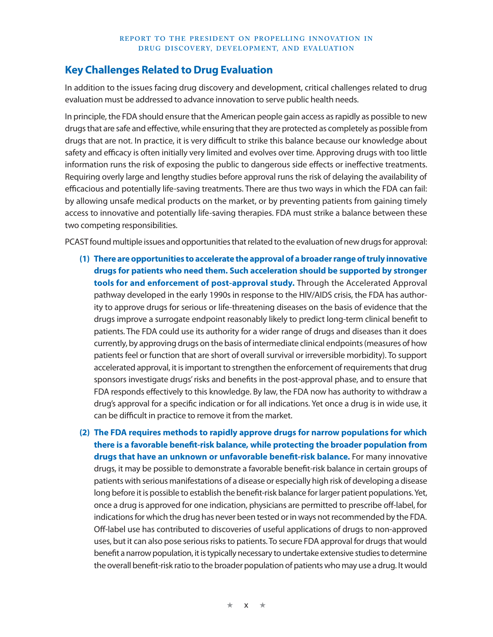### **Key Challenges Related to Drug Evaluation**

In addition to the issues facing drug discovery and development, critical challenges related to drug evaluation must be addressed to advance innovation to serve public health needs.

In principle, the FDA should ensure that the American people gain access as rapidly as possible to new drugs that are safe and effective, while ensuring that they are protected as completely as possible from drugs that are not. In practice, it is very difficult to strike this balance because our knowledge about safety and efficacy is often initially very limited and evolves over time. Approving drugs with too little information runs the risk of exposing the public to dangerous side effects or ineffective treatments. Requiring overly large and lengthy studies before approval runs the risk of delaying the availability of efficacious and potentially life-saving treatments. There are thus two ways in which the FDA can fail: by allowing unsafe medical products on the market, or by preventing patients from gaining timely access to innovative and potentially life-saving therapies. FDA must strike a balance between these two competing responsibilities.

PCAST found multiple issues and opportunities that related to the evaluation of new drugs for approval:

**(1) There are opportunities to accelerate the approval of a broader range of truly innovative drugs for patients who need them. Such acceleration should be supported by stronger tools for and enforcement of post-approval study.** Through the Accelerated Approval pathway developed in the early 1990s in response to the HIV/AIDS crisis, the FDA has authority to approve drugs for serious or life-threatening diseases on the basis of evidence that the drugs improve a surrogate endpoint reasonably likely to predict long-term clinical benefit to patients. The FDA could use its authority for a wider range of drugs and diseases than it does currently, by approving drugs on the basis of intermediate clinical endpoints (measures of how patients feel or function that are short of overall survival or irreversible morbidity). To support accelerated approval, it is important to strengthen the enforcement of requirements that drug sponsors investigate drugs' risks and benefits in the post-approval phase, and to ensure that FDA responds effectively to this knowledge. By law, the FDA now has authority to withdraw a drug's approval for a specific indication or for all indications. Yet once a drug is in wide use, it can be difficult in practice to remove it from the market.

**(2) The FDA requires methods to rapidly approve drugs for narrow populations for which there is a favorable benefit-risk balance, while protecting the broader population from drugs that have an unknown or unfavorable benefit-risk balance.** For many innovative drugs, it may be possible to demonstrate a favorable benefit-risk balance in certain groups of patients with serious manifestations of a disease or especially high risk of developing a disease long before it is possible to establish the benefit-risk balance for larger patient populations. Yet, once a drug is approved for one indication, physicians are permitted to prescribe off-label, for indications for which the drug has never been tested or in ways not recommended by the FDA. Off-label use has contributed to discoveries of useful applications of drugs to non-approved uses, but it can also pose serious risks to patients. To secure FDA approval for drugs that would benefit a narrow population, it is typically necessary to undertake extensive studies to determine the overall benefit-risk ratio to the broader population of patients who may use a drug. It would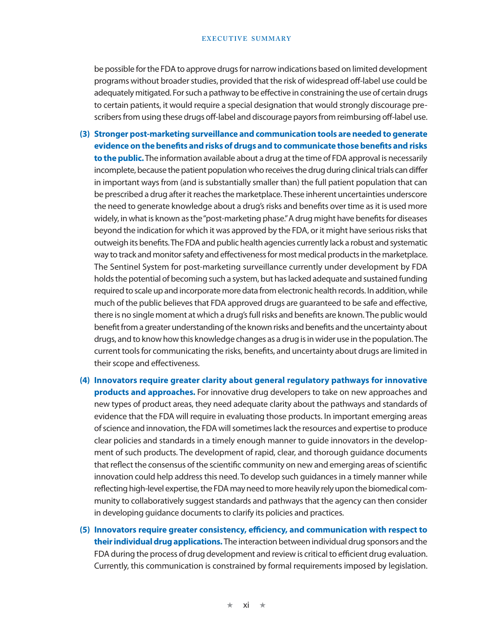#### **EXECUTIVE SUMMARY**

be possible for the FDA to approve drugs for narrow indications based on limited development programs without broader studies, provided that the risk of widespread off-label use could be adequately mitigated. For such a pathway to be effective in constraining the use of certain drugs to certain patients, it would require a special designation that would strongly discourage prescribers from using these drugs off-label and discourage payors from reimbursing off-label use.

- **(3) Stronger post-marketing surveillance and communication tools are needed to generate evidence on the benefits and risks of drugs and to communicate those benefits and risks to the public.** The information available about a drug at the time of FDA approval is necessarily incomplete, because the patient population who receives the drug during clinical trials can differ in important ways from (and is substantially smaller than) the full patient population that can be prescribed a drug after it reaches the marketplace. These inherent uncertainties underscore the need to generate knowledge about a drug's risks and benefits over time as it is used more widely, in what is known as the "post-marketing phase." A drug might have benefits for diseases beyond the indication for which it was approved by the FDA, or it might have serious risks that outweigh its benefits. The FDA and public health agencies currently lack a robust and systematic way to track and monitor safety and effectiveness for most medical products in the marketplace. The Sentinel System for post-marketing surveillance currently under development by FDA holds the potential of becoming such a system, but has lacked adequate and sustained funding required to scale up and incorporate more data from electronic health records. In addition, while much of the public believes that FDA approved drugs are guaranteed to be safe and effective, there is no single moment at which a drug's full risks and benefits are known. The public would benefit from a greater understanding of the known risks and benefits and the uncertainty about drugs, and to know how this knowledge changes as a drug is in wider use in the population. The current tools for communicating the risks, benefits, and uncertainty about drugs are limited in their scope and effectiveness.
- **(4) Innovators require greater clarity about general regulatory pathways for innovative products and approaches.** For innovative drug developers to take on new approaches and new types of product areas, they need adequate clarity about the pathways and standards of evidence that the FDA will require in evaluating those products. In important emerging areas of science and innovation, the FDA will sometimes lack the resources and expertise to produce clear policies and standards in a timely enough manner to guide innovators in the development of such products. The development of rapid, clear, and thorough guidance documents that reflect the consensus of the scientific community on new and emerging areas of scientific innovation could help address this need. To develop such guidances in a timely manner while reflecting high-level expertise, the FDA may need to more heavily rely upon the biomedical community to collaboratively suggest standards and pathways that the agency can then consider in developing guidance documents to clarify its policies and practices.
- **(5) Innovators require greater consistency, efficiency, and communication with respect to their individual drug applications.** The interaction between individual drug sponsors and the FDA during the process of drug development and review is critical to efficient drug evaluation. Currently, this communication is constrained by formal requirements imposed by legislation.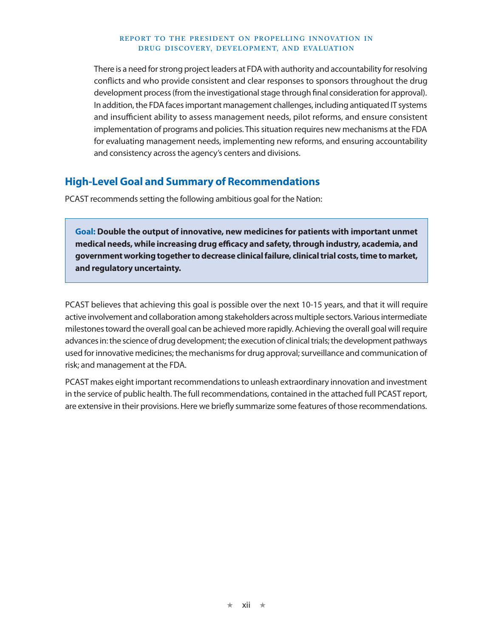#### **REPORT TO THE PRESIDENT ON PROPELLING INNOVATION IN DRUG DISCOVERY, DEVELOPMENT, AND EVALUATION**

There is a need for strong project leaders at FDA with authority and accountability for resolving conflicts and who provide consistent and clear responses to sponsors throughout the drug development process (from the investigational stage through final consideration for approval). In addition, the FDA faces important management challenges, including antiquated IT systems and insufficient ability to assess management needs, pilot reforms, and ensure consistent implementation of programs and policies. This situation requires new mechanisms at the FDA for evaluating management needs, implementing new reforms, and ensuring accountability and consistency across the agency's centers and divisions.

### **High-Level Goal and Summary of Recommendations**

PCAST recommends setting the following ambitious goal for the Nation:

**Goal: Double the output of innovative, new medicines for patients with important unmet medical needs, while increasing drug efficacy and safety, through industry, academia, and government working together to decrease clinical failure, clinical trial costs, time to market, and regulatory uncertainty.**

PCAST believes that achieving this goal is possible over the next 10-15 years, and that it will require active involvement and collaboration among stakeholders across multiple sectors. Various intermediate milestones toward the overall goal can be achieved more rapidly. Achieving the overall goal will require advances in: the science of drug development; the execution of clinical trials; the development pathways used for innovative medicines; the mechanisms for drug approval; surveillance and communication of risk; and management at the FDA.

PCAST makes eight important recommendations to unleash extraordinary innovation and investment in the service of public health. The full recommendations, contained in the attached full PCAST report, are extensive in their provisions. Here we briefly summarize some features of those recommendations.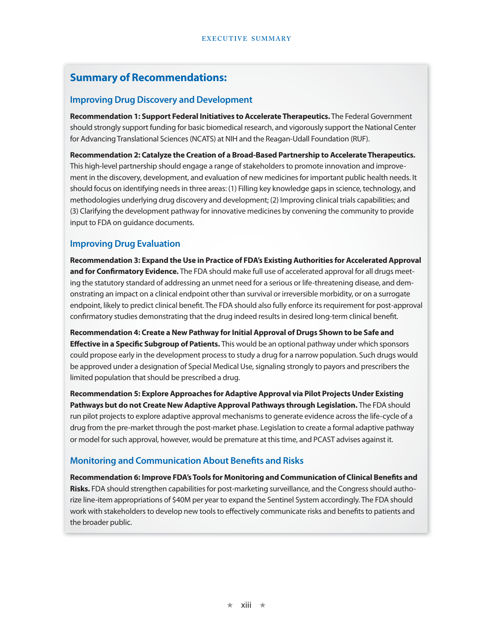### **Summary of Recommendations:**

#### **Improving Drug Discovery and Development**

**Recommendation 1: Support Federal Initiatives to Accelerate Therapeutics.** The Federal Government should strongly support funding for basic biomedical research, and vigorously support the National Center for Advancing Translational Sciences (NCATS) at NIH and the Reagan-Udall Foundation (RUF).

**Recommendation 2: Catalyze the Creation of a Broad-Based Partnership to Accelerate Therapeutics.** This high-level partnership should engage a range of stakeholders to promote innovation and improvement in the discovery, development, and evaluation of new medicines for important public health needs. It should focus on identifying needs in three areas: (1) Filling key knowledge gaps in science, technology, and methodologies underlying drug discovery and development; (2) Improving clinical trials capabilities; and (3) Clarifying the development pathway for innovative medicines by convening the community to provide input to FDA on guidance documents.

#### **Improving Drug Evaluation**

**Recommendation 3: Expand the Use in Practice of FDA's Existing Authorities for Accelerated Approval and for Confirmatory Evidence.** The FDA should make full use of accelerated approval for all drugs meeting the statutory standard of addressing an unmet need for a serious or life-threatening disease, and demonstrating an impact on a clinical endpoint other than survival or irreversible morbidity, or on a surrogate endpoint, likely to predict clinical benefit. The FDA should also fully enforce its requirement for post-approval confirmatory studies demonstrating that the drug indeed results in desired long-term clinical benefit.

**Recommendation 4: Create a New Pathway for Initial Approval of Drugs Shown to be Safe and Effective in a Specific Subgroup of Patients.** This would be an optional pathway under which sponsors could propose early in the development process to study a drug for a narrow population. Such drugs would be approved under a designation of Special Medical Use, signaling strongly to payors and prescribers the limited population that should be prescribed a drug.

**Recommendation 5: Explore Approaches for Adaptive Approval via Pilot Projects Under Existing Pathways but do not Create New Adaptive Approval Pathways through Legislation.** The FDA should run pilot projects to explore adaptive approval mechanisms to generate evidence across the life-cycle of a drug from the pre-market through the post-market phase. Legislation to create a formal adaptive pathway or model for such approval, however, would be premature at this time, and PCAST advises against it.

#### **Monitoring and Communication About Benefits and Risks**

**Recommendation 6: Improve FDA's Tools for Monitoring and Communication of Clinical Benefits and Risks.** FDA should strengthen capabilities for post-marketing surveillance, and the Congress should authorize line-item appropriations of \$40M per year to expand the Sentinel System accordingly. The FDA should work with stakeholders to develop new tools to effectively communicate risks and benefits to patients and the broader public.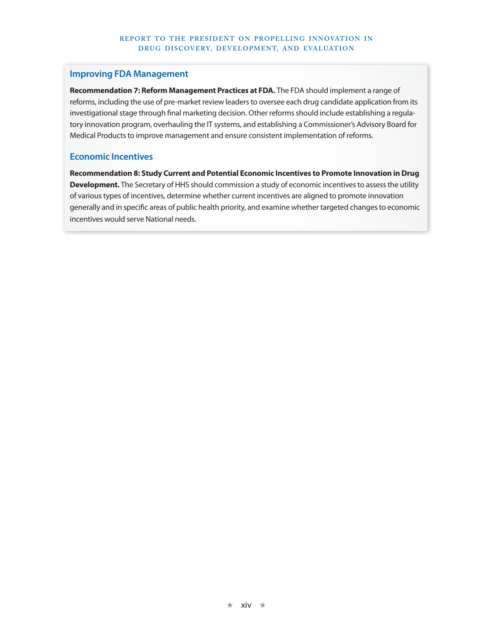#### **Improving FDA Management**

**Recommendation 7: Reform Management Practices at FDA.** The FDA should implement a range of reforms, including the use of pre-market review leaders to oversee each drug candidate application from its investigational stage through final marketing decision. Other reforms should include establishing a regulatory innovation program, overhauling the IT systems, and establishing a Commissioner's Advisory Board for Medical Products to improve management and ensure consistent implementation of reforms.

#### **Economic Incentives**

**Recommendation 8: Study Current and Potential Economic Incentives to Promote Innovation in Drug Development.** The Secretary of HHS should commission a study of economic incentives to assess the utility of various types of incentives, determine whether current incentives are aligned to promote innovation generally and in specific areas of public health priority, and examine whether targeted changes to economic incentives would serve National needs.